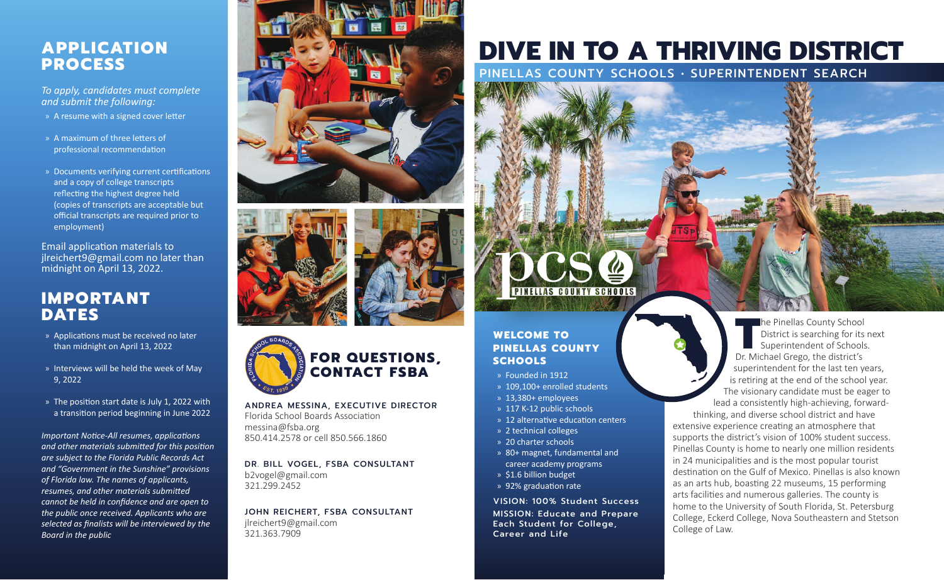#### **APPLICATION PROCESS**

*To apply, candidates must complete and submit the following:*

- » A resume with a signed cover letter
- » A maximum of three letters of professional recommendation
- » Documents verifying current certifications and a copy of college transcripts reflecting the highest degree held (copies of transcripts are acceptable but official transcripts are required prior to employment)

Email application materials to jlreichert9@gmail.com no later than midnight on April 13, 2022.

#### **IMPORTANT DATES**

- » Applications must be received no later than midnight on April 13, 2022
- » Interviews will be held the week of May 9, 2022
- » The position start date is July 1, 2022 with a transition period beginning in June 2022

*Important Notice-All resumes, applications and other materials submitted for this position are subject to the Florida Public Records Act and "Government in the Sunshine" provisions of Florida law. The names of applicants, resumes, and other materials submitted cannot be held in confidence and are open to the public once received. Applicants who are selected as finalists will be interviewed by the Board in the public*







ANDREA MESSINA, EXECUTIVE DIRECTOR Florida School Boards Association messina@fsba.org 850.414.2578 or cell 850.566.1860

DR. BILL VOGEL, FSBA CONSULTANT b2vogel@gmail.com 321.299.2452

JOHN REICHERT, FSBA CONSULTANT jlreichert9@gmail.com 321.363.7909

## **DIVE IN TO A THRIVING DISTRICT**

PINELLAS COUNTY SCHOOLS • SUPERINTENDENT SEARCH

# **PINELLAS COUNTY SCHOOLS**

#### **WELCOME TO PINELLAS COUNTY SCHOOLS**

- » Founded in 1912
- » 109,100+ enrolled students
- » 13,380+ employees
- » 117 K-12 public schools
- » 12 alternative education centers
- » 2 technical colleges
- » 20 charter schools
- » 80+ magnet, fundamental and career academy programs
- » \$1.6 billion budget
- » 92% graduation rate

VISION: 100% Student Success MISSION: Educate and Prepare Each Student for College, Career and Life

**The Pinellas County School District is searching for its Superintendent of Schools Dr. Michael Grego, the district's** District is searching for its next Superintendent of Schools. superintendent for the last ten years, is retiring at the end of the school year. The visionary candidate must be eager to lead a consistently high-achieving, forward-

thinking, and diverse school district and have extensive experience creating an atmosphere that supports the district's vision of 100% student success. Pinellas County is home to nearly one million residents in 24 municipalities and is the most popular tourist destination on the Gulf of Mexico. Pinellas is also known as an arts hub, boasting 22 museums, 15 performing arts facilities and numerous galleries. The county is home to the University of South Florida, St. Petersburg College, Eckerd College, Nova Southeastern and Stetson College of Law.